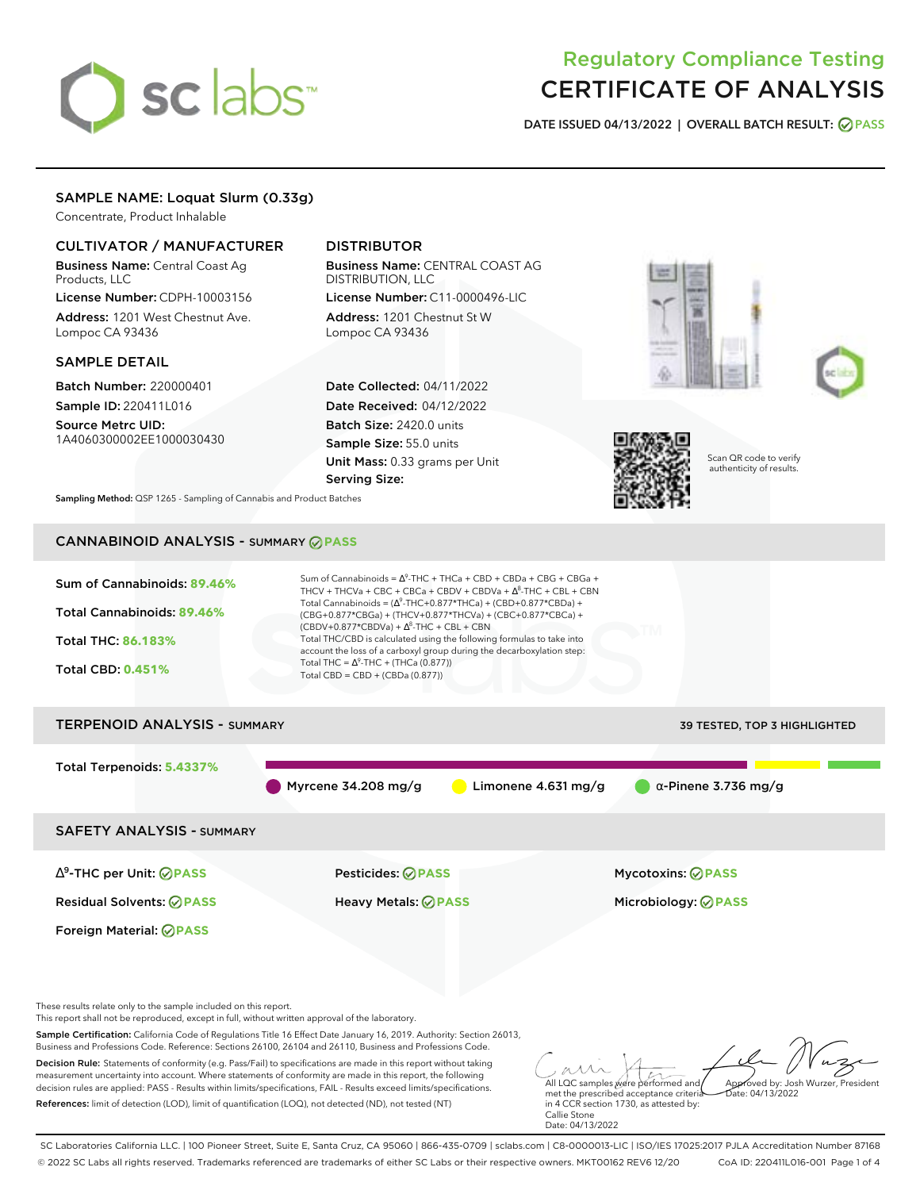# sclabs<sup>\*</sup>

# Regulatory Compliance Testing CERTIFICATE OF ANALYSIS

**DATE ISSUED 04/13/2022 | OVERALL BATCH RESULT: PASS**

## SAMPLE NAME: Loquat Slurm (0.33g)

Concentrate, Product Inhalable

## CULTIVATOR / MANUFACTURER

Business Name: Central Coast Ag Products, LLC

License Number: CDPH-10003156 Address: 1201 West Chestnut Ave. Lompoc CA 93436

### SAMPLE DETAIL

Batch Number: 220000401

Sample ID: 220411L016 Source Metrc UID:

# 1A4060300002EE1000030430

## DISTRIBUTOR

Business Name: CENTRAL COAST AG DISTRIBUTION, LLC License Number: C11-0000496-LIC

Address: 1201 Chestnut St W Lompoc CA 93436

Date Collected: 04/11/2022 Date Received: 04/12/2022 Batch Size: 2420.0 units Sample Size: 55.0 units Unit Mass: 0.33 grams per Unit Serving Size:







Scan QR code to verify authenticity of results.

**Sampling Method:** QSP 1265 - Sampling of Cannabis and Product Batches

# CANNABINOID ANALYSIS - SUMMARY **PASS**



measurement uncertainty into account. Where statements of conformity are made in this report, the following decision rules are applied: PASS - Results within limits/specifications, FAIL - Results exceed limits/specifications. References: limit of detection (LOD), limit of quantification (LOQ), not detected (ND), not tested (NT)

All LQC samples were performed and met the prescribed acceptance criteria in 4 CCR section 1730, as attested by: Callie Stone Date: 04/13/2022 Approved by: Josh Wurzer, President  $hat: 04/13/2022$ 

SC Laboratories California LLC. | 100 Pioneer Street, Suite E, Santa Cruz, CA 95060 | 866-435-0709 | sclabs.com | C8-0000013-LIC | ISO/IES 17025:2017 PJLA Accreditation Number 87168 © 2022 SC Labs all rights reserved. Trademarks referenced are trademarks of either SC Labs or their respective owners. MKT00162 REV6 12/20 CoA ID: 220411L016-001 Page 1 of 4